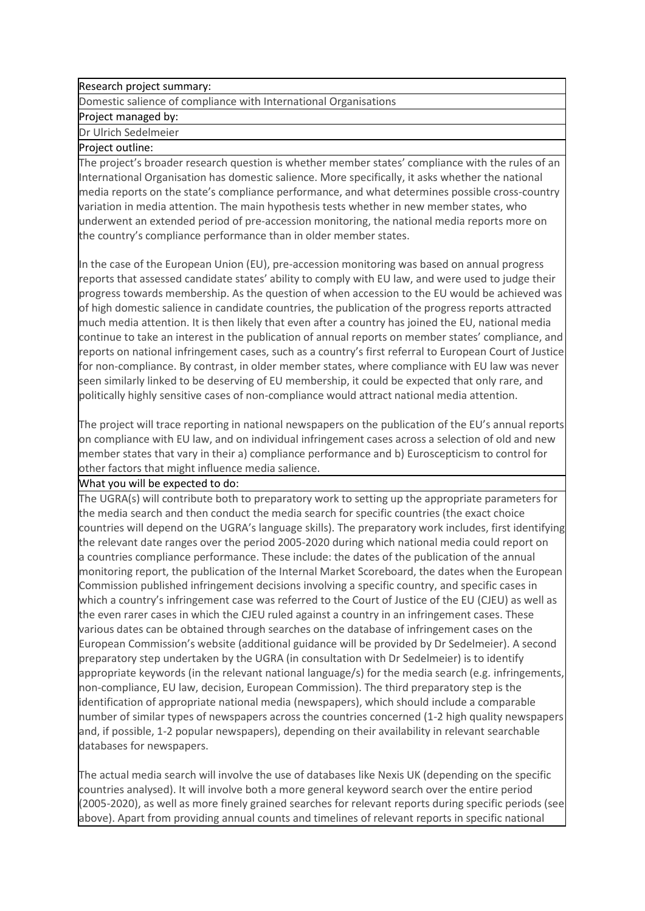## Research project summary:

Domestic salience of compliance with International Organisations

## Project managed by:

Dr Ulrich Sedelmeier

## Project outline:

The project's broader research question is whether member states' compliance with the rules of an International Organisation has domestic salience. More specifically, it asks whether the national media reports on the state's compliance performance, and what determines possible cross-country variation in media attention. The main hypothesis tests whether in new member states, who underwent an extended period of pre-accession monitoring, the national media reports more on the country's compliance performance than in older member states.

In the case of the European Union (EU), pre-accession monitoring was based on annual progress reports that assessed candidate states' ability to comply with EU law, and were used to judge their progress towards membership. As the question of when accession to the EU would be achieved was of high domestic salience in candidate countries, the publication of the progress reports attracted much media attention. It is then likely that even after a country has joined the EU, national media continue to take an interest in the publication of annual reports on member states' compliance, and reports on national infringement cases, such as a country's first referral to European Court of Justice for non-compliance. By contrast, in older member states, where compliance with EU law was never seen similarly linked to be deserving of EU membership, it could be expected that only rare, and politically highly sensitive cases of non-compliance would attract national media attention.

The project will trace reporting in national newspapers on the publication of the EU's annual reports on compliance with EU law, and on individual infringement cases across a selection of old and new member states that vary in their a) compliance performance and b) Euroscepticism to control for other factors that might influence media salience.

## What you will be expected to do:

The UGRA(s) will contribute both to preparatory work to setting up the appropriate parameters for the media search and then conduct the media search for specific countries (the exact choice countries will depend on the UGRA's language skills). The preparatory work includes, first identifying the relevant date ranges over the period 2005-2020 during which national media could report on a countries compliance performance. These include: the dates of the publication of the annual monitoring report, the publication of the Internal Market Scoreboard, the dates when the European Commission published infringement decisions involving a specific country, and specific cases in which a country's infringement case was referred to the Court of Justice of the EU (CJEU) as well as the even rarer cases in which the CJEU ruled against a country in an infringement cases. These various dates can be obtained through searches on the database of infringement cases on the European Commission's website (additional guidance will be provided by Dr Sedelmeier). A second preparatory step undertaken by the UGRA (in consultation with Dr Sedelmeier) is to identify appropriate keywords (in the relevant national language/s) for the media search (e.g. infringements, non-compliance, EU law, decision, European Commission). The third preparatory step is the identification of appropriate national media (newspapers), which should include a comparable number of similar types of newspapers across the countries concerned (1-2 high quality newspapers and, if possible, 1-2 popular newspapers), depending on their availability in relevant searchable databases for newspapers.

The actual media search will involve the use of databases like Nexis UK (depending on the specific countries analysed). It will involve both a more general keyword search over the entire period (2005-2020), as well as more finely grained searches for relevant reports during specific periods (see above). Apart from providing annual counts and timelines of relevant reports in specific national